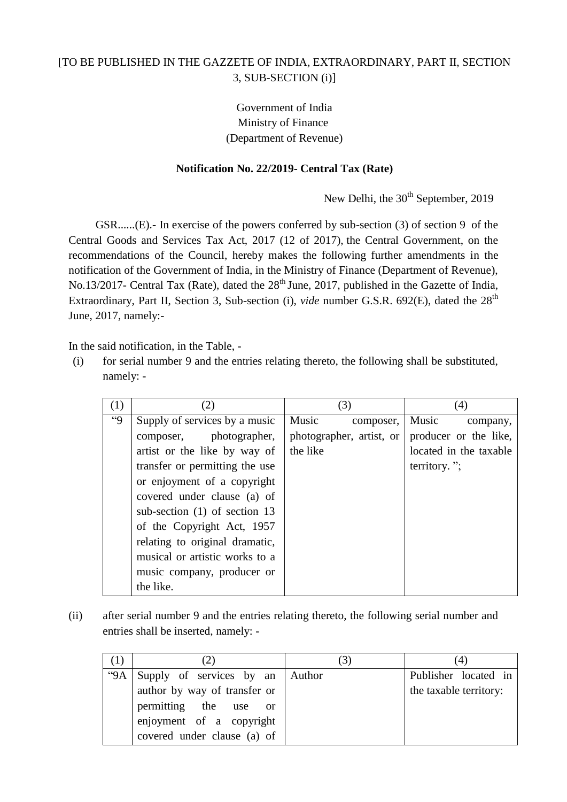# [TO BE PUBLISHED IN THE GAZZETE OF INDIA, EXTRAORDINARY, PART II, SECTION 3, SUB-SECTION (i)]

# Government of India Ministry of Finance (Department of Revenue)

### **Notification No. 22/2019- Central Tax (Rate)**

New Delhi, the 30<sup>th</sup> September, 2019

GSR......(E).**-** In exercise of the powers conferred by sub-section (3) of section 9 of the Central Goods and Services Tax Act, 2017 (12 of 2017), the Central Government, on the recommendations of the Council, hereby makes the following further amendments in the notification of the Government of India, in the Ministry of Finance (Department of Revenue), No.13/2017- Central Tax (Rate), dated the  $28<sup>th</sup>$  June, 2017, published in the Gazette of India, Extraordinary, Part II, Section 3, Sub-section (i), *vide* number G.S.R. 692(E), dated the 28<sup>th</sup> June, 2017, namely:-

In the said notification, in the Table, -

(i) for serial number 9 and the entries relating thereto, the following shall be substituted, namely: -

| (1)     | (2)                             | (3)                      | (4)                    |
|---------|---------------------------------|--------------------------|------------------------|
| $^{44}$ | Supply of services by a music   | Music<br>composer,       | Music<br>company,      |
|         | composer, photographer,         | photographer, artist, or | producer or the like,  |
|         | artist or the like by way of    | the like                 | located in the taxable |
|         | transfer or permitting the use  |                          | territory.";           |
|         | or enjoyment of a copyright     |                          |                        |
|         | covered under clause (a) of     |                          |                        |
|         | sub-section $(1)$ of section 13 |                          |                        |
|         | of the Copyright Act, 1957      |                          |                        |
|         | relating to original dramatic,  |                          |                        |
|         | musical or artistic works to a  |                          |                        |
|         | music company, producer or      |                          |                        |
|         | the like.                       |                          |                        |

(ii) after serial number 9 and the entries relating thereto, the following serial number and entries shall be inserted, namely: -

|     |                              |               | (4)                    |
|-----|------------------------------|---------------|------------------------|
| "9A | Supply of services by an     | <b>Author</b> | Publisher located in   |
|     | author by way of transfer or |               | the taxable territory: |
|     | permitting the use or        |               |                        |
|     | enjoyment of a copyright     |               |                        |
|     | covered under clause (a) of  |               |                        |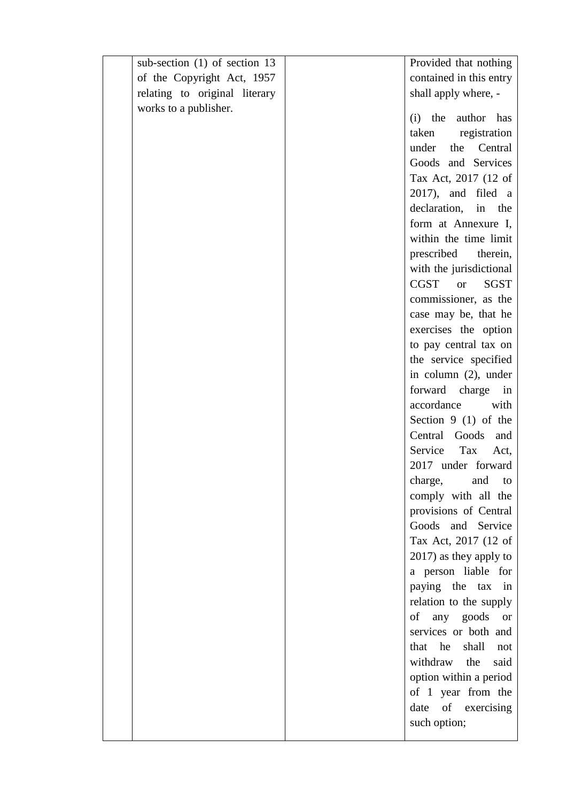| sub-section $(1)$ of section 13 | Provided that nothing            |
|---------------------------------|----------------------------------|
| of the Copyright Act, 1957      | contained in this entry          |
| relating to original literary   | shall apply where, -             |
| works to a publisher.           |                                  |
|                                 | (i) the author has               |
|                                 | taken<br>registration            |
|                                 | under<br>Central<br>the          |
|                                 | Goods and Services               |
|                                 | Tax Act, 2017 (12 of             |
|                                 | $2017$ , and filed a             |
|                                 | declaration,<br>in the           |
|                                 | form at Annexure I,              |
|                                 | within the time limit            |
|                                 | prescribed<br>therein,           |
|                                 | with the jurisdictional          |
|                                 | CGST<br><b>SGST</b><br><b>or</b> |
|                                 | commissioner, as the             |
|                                 | case may be, that he             |
|                                 | exercises the option             |
|                                 | to pay central tax on            |
|                                 | the service specified            |
|                                 | in column (2), under             |
|                                 | forward charge in                |
|                                 | accordance<br>with               |
|                                 | Section $9(1)$ of the            |
|                                 | Central Goods<br>and             |
|                                 | Service<br>Tax<br>Act,           |
|                                 | 2017 under forward               |
|                                 | charge, and to                   |
|                                 | comply with all the              |
|                                 | provisions of Central            |
|                                 | Goods and Service                |
|                                 | Tax Act, 2017 (12 of             |
|                                 | 2017) as they apply to           |
|                                 | a person liable for              |
|                                 | paying the tax<br>in             |
|                                 | relation to the supply           |
|                                 | of any goods or                  |
|                                 | services or both and             |
|                                 | that he<br>shall<br>not          |
|                                 | withdraw<br>the<br>said          |
|                                 | option within a period           |
|                                 | of 1 year from the               |
|                                 | date of exercising               |
|                                 | such option;                     |
|                                 |                                  |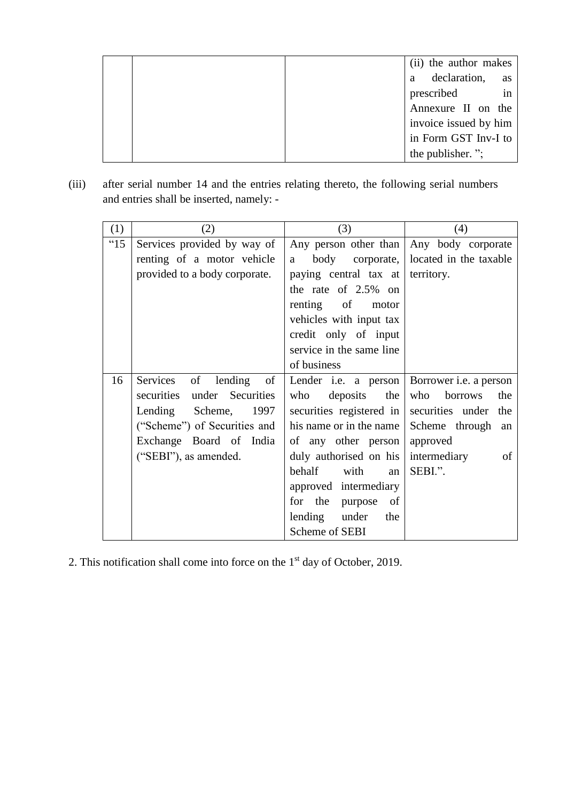|  | (ii) the author makes |    |
|--|-----------------------|----|
|  | declaration,<br>a     | as |
|  | prescribed            | in |
|  | Annexure II on the    |    |
|  | invoice issued by him |    |
|  | in Form GST Inv-I to  |    |
|  | the publisher.";      |    |

(iii) after serial number 14 and the entries relating thereto, the following serial numbers and entries shall be inserted, namely: -

| (1)  | (2)                           | (3)                                                       | (4)                                    |
|------|-------------------------------|-----------------------------------------------------------|----------------------------------------|
| "15" | Services provided by way of   | Any person other than Any body corporate                  |                                        |
|      | renting of a motor vehicle    | a                                                         | body corporate, located in the taxable |
|      | provided to a body corporate. | paying central tax at territory.                          |                                        |
|      |                               | the rate of 2.5% on                                       |                                        |
|      |                               | renting of motor                                          |                                        |
|      |                               | vehicles with input tax                                   |                                        |
|      |                               | credit only of input                                      |                                        |
|      |                               | service in the same line                                  |                                        |
|      |                               | of business                                               |                                        |
| 16   | Services of lending of        | Lender <i>i.e.</i> a person Borrower <i>i.e.</i> a person |                                        |
|      | securities under Securities   | who<br>deposits the                                       | who<br>borrows<br>the                  |
|      | Lending Scheme, 1997          | securities registered in securities under the             |                                        |
|      | ("Scheme") of Securities and  | his name or in the name   Scheme through an               |                                        |
|      | Exchange Board of India       | of any other person approved                              |                                        |
|      | ("SEBI"), as amended.         | duly authorised on his intermediary                       | of                                     |
|      |                               | behalf with<br>an                                         | SEBI.".                                |
|      |                               | approved intermediary                                     |                                        |
|      |                               | for the purpose of                                        |                                        |
|      |                               | lending under the                                         |                                        |
|      |                               | Scheme of SEBI                                            |                                        |

2. This notification shall come into force on the  $1<sup>st</sup>$  day of October, 2019.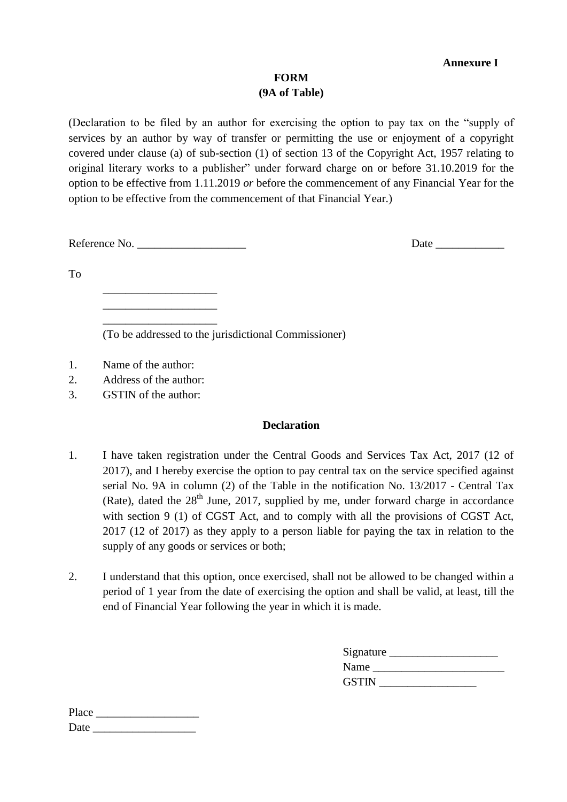### **Annexure I**

### **FORM (9A of Table)**

(Declaration to be filed by an author for exercising the option to pay tax on the "supply of services by an author by way of transfer or permitting the use or enjoyment of a copyright covered under clause (a) of sub-section (1) of section 13 of the Copyright Act, 1957 relating to original literary works to a publisher" under forward charge on or before 31.10.2019 for the option to be effective from 1.11.2019 *or* before the commencement of any Financial Year for the option to be effective from the commencement of that Financial Year.)

Reference No. \_\_\_\_\_\_\_\_\_\_\_\_\_\_\_\_\_\_\_ Date \_\_\_\_\_\_\_\_\_\_\_\_

\_\_\_\_\_\_\_\_\_\_\_\_\_\_\_\_\_\_\_\_ \_\_\_\_\_\_\_\_\_\_\_\_\_\_\_\_\_\_\_\_ \_\_\_\_\_\_\_\_\_\_\_\_\_\_\_\_\_\_\_\_

To

(To be addressed to the jurisdictional Commissioner)

- 1. Name of the author:
- 2. Address of the author:
- 3. GSTIN of the author:

#### **Declaration**

- 1. I have taken registration under the Central Goods and Services Tax Act, 2017 (12 of 2017), and I hereby exercise the option to pay central tax on the service specified against serial No. 9A in column (2) of the Table in the notification No. 13/2017 - Central Tax (Rate), dated the  $28<sup>th</sup>$  June, 2017, supplied by me, under forward charge in accordance with section 9 (1) of CGST Act, and to comply with all the provisions of CGST Act, 2017 (12 of 2017) as they apply to a person liable for paying the tax in relation to the supply of any goods or services or both;
- 2. I understand that this option, once exercised, shall not be allowed to be changed within a period of 1 year from the date of exercising the option and shall be valid, at least, till the end of Financial Year following the year in which it is made.

| Signature    |  |
|--------------|--|
| Name         |  |
| <b>GSTIN</b> |  |

Place \_\_\_\_\_\_\_\_\_\_\_\_\_\_\_\_\_\_ Date \_\_\_\_\_\_\_\_\_\_\_\_\_\_\_\_\_\_